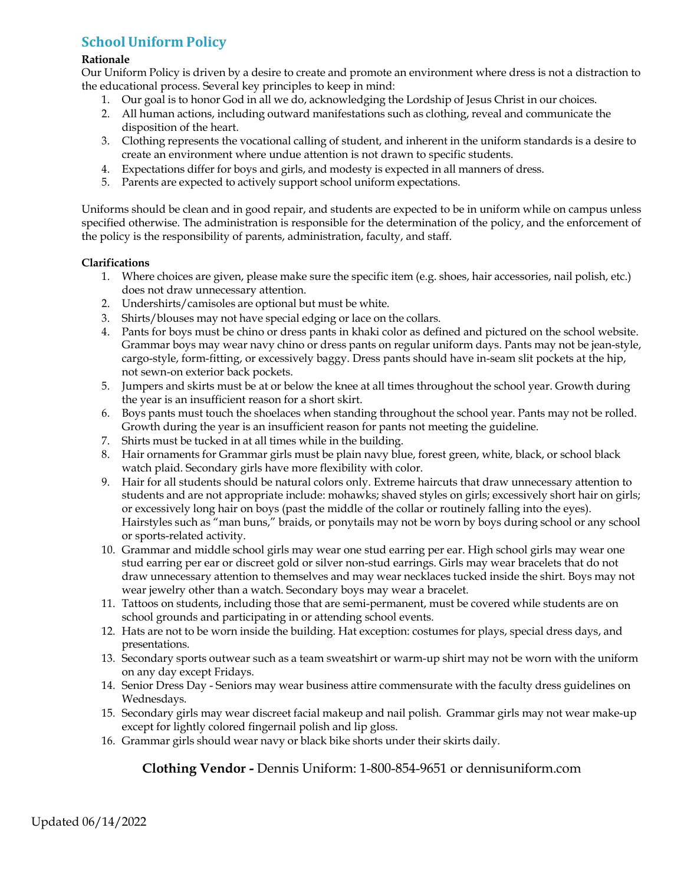## **School Uniform Policy**

### **Rationale**

Our Uniform Policy is driven by a desire to create and promote an environment where dress is not a distraction to the educational process. Several key principles to keep in mind:

- 1. Our goal is to honor God in all we do, acknowledging the Lordship of Jesus Christ in our choices.
- 2. All human actions, including outward manifestations such as clothing, reveal and communicate the disposition of the heart.
- 3. Clothing represents the vocational calling of student, and inherent in the uniform standards is a desire to create an environment where undue attention is not drawn to specific students.
- 4. Expectations differ for boys and girls, and modesty is expected in all manners of dress.
- 5. Parents are expected to actively support school uniform expectations.

Uniforms should be clean and in good repair, and students are expected to be in uniform while on campus unless specified otherwise. The administration is responsible for the determination of the policy, and the enforcement of the policy is the responsibility of parents, administration, faculty, and staff.

#### **Clarifications**

- 1. Where choices are given, please make sure the specific item (e.g. shoes, hair accessories, nail polish, etc.) does not draw unnecessary attention.
- 2. Undershirts/camisoles are optional but must be white.
- 3. Shirts/blouses may not have special edging or lace on the collars.
- 4. Pants for boys must be chino or dress pants in khaki color as defined and pictured on the school website. Grammar boys may wear navy chino or dress pants on regular uniform days. Pants may not be jean-style, cargo-style, form-fitting, or excessively baggy. Dress pants should have in-seam slit pockets at the hip, not sewn-on exterior back pockets.
- 5. Jumpers and skirts must be at or below the knee at all times throughout the school year. Growth during the year is an insufficient reason for a short skirt.
- 6. Boys pants must touch the shoelaces when standing throughout the school year. Pants may not be rolled. Growth during the year is an insufficient reason for pants not meeting the guideline.
- 7. Shirts must be tucked in at all times while in the building.
- 8. Hair ornaments for Grammar girls must be plain navy blue, forest green, white, black, or school black watch plaid. Secondary girls have more flexibility with color.
- 9. Hair for all students should be natural colors only. Extreme haircuts that draw unnecessary attention to students and are not appropriate include: mohawks; shaved styles on girls; excessively short hair on girls; or excessively long hair on boys (past the middle of the collar or routinely falling into the eyes). Hairstyles such as "man buns," braids, or ponytails may not be worn by boys during school or any school or sports-related activity.
- 10. Grammar and middle school girls may wear one stud earring per ear. High school girls may wear one stud earring per ear or discreet gold or silver non-stud earrings. Girls may wear bracelets that do not draw unnecessary attention to themselves and may wear necklaces tucked inside the shirt. Boys may not wear jewelry other than a watch. Secondary boys may wear a bracelet.
- 11. Tattoos on students, including those that are semi-permanent, must be covered while students are on school grounds and participating in or attending school events.
- 12. Hats are not to be worn inside the building. Hat exception: costumes for plays, special dress days, and presentations.
- 13. Secondary sports outwear such as a team sweatshirt or warm-up shirt may not be worn with the uniform on any day except Fridays.
- 14. Senior Dress Day Seniors may wear business attire commensurate with the faculty dress guidelines on Wednesdays.
- 15. Secondary girls may wear discreet facial makeup and nail polish. Grammar girls may not wear make-up except for lightly colored fingernail polish and lip gloss.
- 16. Grammar girls should wear navy or black bike shorts under their skirts daily.

**Clothing Vendor -** Dennis Uniform: 1-800-854-9651 or dennisuniform.com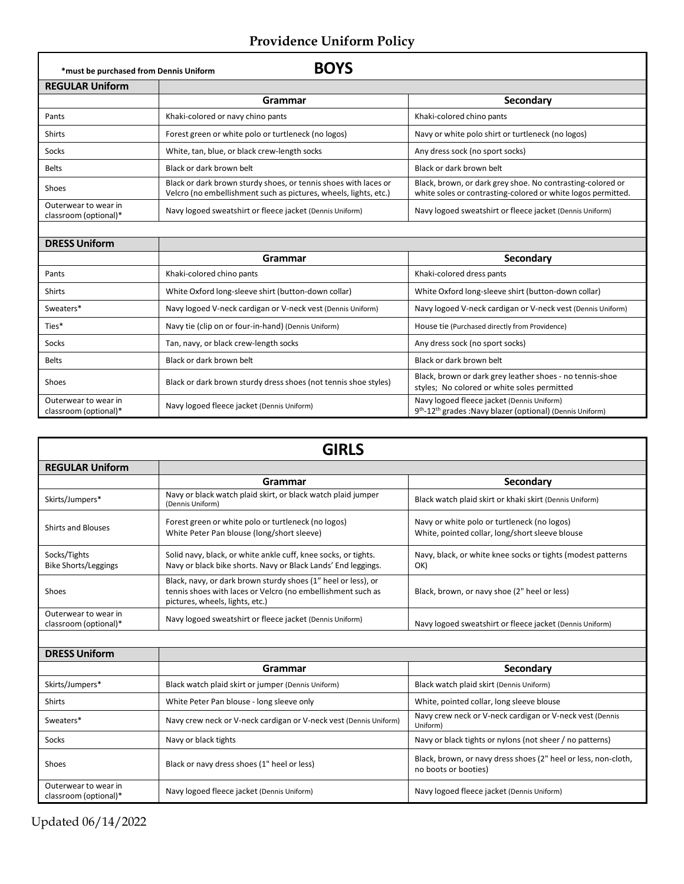# **Providence Uniform Policy**

| <b>BOYS</b><br>*must be purchased from Dennis Uniform |                                                                                                                                     |                                                                                                                                 |
|-------------------------------------------------------|-------------------------------------------------------------------------------------------------------------------------------------|---------------------------------------------------------------------------------------------------------------------------------|
| <b>REGULAR Uniform</b>                                |                                                                                                                                     |                                                                                                                                 |
|                                                       | Grammar                                                                                                                             | <b>Secondary</b>                                                                                                                |
| Pants                                                 | Khaki-colored or navy chino pants                                                                                                   | Khaki-colored chino pants                                                                                                       |
| <b>Shirts</b>                                         | Forest green or white polo or turtleneck (no logos)                                                                                 | Navy or white polo shirt or turtleneck (no logos)                                                                               |
| Socks                                                 | White, tan, blue, or black crew-length socks                                                                                        | Any dress sock (no sport socks)                                                                                                 |
| <b>Belts</b>                                          | Black or dark brown belt                                                                                                            | Black or dark brown belt                                                                                                        |
| Shoes                                                 | Black or dark brown sturdy shoes, or tennis shoes with laces or<br>Velcro (no embellishment such as pictures, wheels, lights, etc.) | Black, brown, or dark grey shoe. No contrasting-colored or<br>white soles or contrasting-colored or white logos permitted.      |
| Outerwear to wear in<br>classroom (optional)*         | Navy logoed sweatshirt or fleece jacket (Dennis Uniform)                                                                            | Navy logoed sweatshirt or fleece jacket (Dennis Uniform)                                                                        |
|                                                       |                                                                                                                                     |                                                                                                                                 |
| <b>DRESS Uniform</b>                                  |                                                                                                                                     |                                                                                                                                 |
|                                                       | Grammar                                                                                                                             | Secondary                                                                                                                       |
| Pants                                                 | Khaki-colored chino pants                                                                                                           | Khaki-colored dress pants                                                                                                       |
| <b>Shirts</b>                                         | White Oxford long-sleeve shirt (button-down collar)                                                                                 | White Oxford long-sleeve shirt (button-down collar)                                                                             |
| Sweaters*                                             | Navy logoed V-neck cardigan or V-neck vest (Dennis Uniform)                                                                         | Navy logoed V-neck cardigan or V-neck vest (Dennis Uniform)                                                                     |
| Ties*                                                 | Navy tie (clip on or four-in-hand) (Dennis Uniform)                                                                                 | House tie (Purchased directly from Providence)                                                                                  |
| Socks                                                 | Tan, navy, or black crew-length socks                                                                                               | Any dress sock (no sport socks)                                                                                                 |
| <b>Belts</b>                                          | Black or dark brown belt                                                                                                            | Black or dark brown belt                                                                                                        |
| Shoes                                                 | Black or dark brown sturdy dress shoes (not tennis shoe styles)                                                                     | Black, brown or dark grey leather shoes - no tennis-shoe<br>styles; No colored or white soles permitted                         |
| Outerwear to wear in<br>classroom (optional)*         | Navy logoed fleece jacket (Dennis Uniform)                                                                                          | Navy logoed fleece jacket (Dennis Uniform)<br>9 <sup>th</sup> -12 <sup>th</sup> grades: Navy blazer (optional) (Dennis Uniform) |

| <b>GIRLS</b>                                  |                                                                                                                                                                 |                                                                                                |  |
|-----------------------------------------------|-----------------------------------------------------------------------------------------------------------------------------------------------------------------|------------------------------------------------------------------------------------------------|--|
| <b>REGULAR Uniform</b>                        |                                                                                                                                                                 |                                                                                                |  |
|                                               | Grammar                                                                                                                                                         | Secondary                                                                                      |  |
| Skirts/Jumpers*                               | Navy or black watch plaid skirt, or black watch plaid jumper<br>(Dennis Uniform)                                                                                | Black watch plaid skirt or khaki skirt (Dennis Uniform)                                        |  |
| <b>Shirts and Blouses</b>                     | Forest green or white polo or turtleneck (no logos)<br>White Peter Pan blouse (long/short sleeve)                                                               | Navy or white polo or turtleneck (no logos)<br>White, pointed collar, long/short sleeve blouse |  |
| Socks/Tights<br><b>Bike Shorts/Leggings</b>   | Solid navy, black, or white ankle cuff, knee socks, or tights.<br>Navy or black bike shorts. Navy or Black Lands' End leggings.                                 | Navy, black, or white knee socks or tights (modest patterns<br>OK)                             |  |
| Shoes                                         | Black, navy, or dark brown sturdy shoes (1" heel or less), or<br>tennis shoes with laces or Velcro (no embellishment such as<br>pictures, wheels, lights, etc.) | Black, brown, or navy shoe (2" heel or less)                                                   |  |
| Outerwear to wear in<br>classroom (optional)* | Navy logoed sweatshirt or fleece jacket (Dennis Uniform)                                                                                                        | Navy logoed sweatshirt or fleece jacket (Dennis Uniform)                                       |  |
|                                               |                                                                                                                                                                 |                                                                                                |  |
| <b>DRESS Uniform</b>                          |                                                                                                                                                                 |                                                                                                |  |
|                                               | Grammar                                                                                                                                                         | Secondary                                                                                      |  |
| Skirts/Jumpers*                               | Black watch plaid skirt or jumper (Dennis Uniform)                                                                                                              | Black watch plaid skirt (Dennis Uniform)                                                       |  |
| <b>Shirts</b>                                 | White Peter Pan blouse - long sleeve only                                                                                                                       | White, pointed collar, long sleeve blouse                                                      |  |
| Sweaters*                                     | Navy crew neck or V-neck cardigan or V-neck vest (Dennis Uniform)                                                                                               | Navy crew neck or V-neck cardigan or V-neck vest (Dennis<br>Uniform)                           |  |
| Socks                                         | Navy or black tights                                                                                                                                            | Navy or black tights or nylons (not sheer / no patterns)                                       |  |
| Shoes                                         | Black or navy dress shoes (1" heel or less)                                                                                                                     | Black, brown, or navy dress shoes (2" heel or less, non-cloth,<br>no boots or booties)         |  |
| Outerwear to wear in<br>classroom (optional)* | Navy logoed fleece jacket (Dennis Uniform)                                                                                                                      | Navy logoed fleece jacket (Dennis Uniform)                                                     |  |